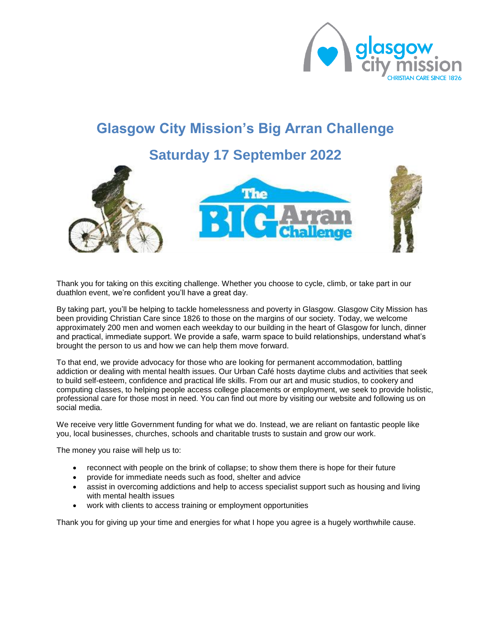

### **Glasgow City Mission's Big Arran Challenge**

### **Saturday 17 September 2022**



Thank you for taking on this exciting challenge. Whether you choose to cycle, climb, or take part in our duathlon event, we're confident you'll have a great day.

By taking part, you'll be helping to tackle homelessness and poverty in Glasgow. Glasgow City Mission has been providing Christian Care since 1826 to those on the margins of our society. Today, we welcome approximately 200 men and women each weekday to our building in the heart of Glasgow for lunch, dinner and practical, immediate support. We provide a safe, warm space to build relationships, understand what's brought the person to us and how we can help them move forward.

To that end, we provide advocacy for those who are looking for permanent accommodation, battling addiction or dealing with mental health issues. Our Urban Café hosts daytime clubs and activities that seek to build self-esteem, confidence and practical life skills. From our art and music studios, to cookery and computing classes, to helping people access college placements or employment, we seek to provide holistic, professional care for those most in need. You can find out more by visiting our website and following us on social media.

We receive very little Government funding for what we do. Instead, we are reliant on fantastic people like you, local businesses, churches, schools and charitable trusts to sustain and grow our work.

The money you raise will help us to:

- reconnect with people on the brink of collapse; to show them there is hope for their future
- provide for immediate needs such as food, shelter and advice
- assist in overcoming addictions and help to access specialist support such as housing and living with mental health issues
- work with clients to access training or employment opportunities

Thank you for giving up your time and energies for what I hope you agree is a hugely worthwhile cause.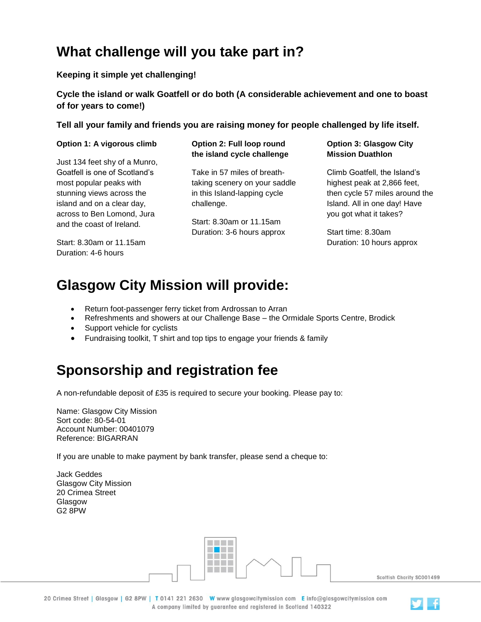# **What challenge will you take part in?**

### **Keeping it simple yet challenging!**

**Cycle the island or walk Goatfell or do both (A considerable achievement and one to boast of for years to come!)** 

**Tell all your family and friends you are raising money for people challenged by life itself.**

#### **Option 1: A vigorous climb**

Just 134 feet shy of a Munro, Goatfell is one of Scotland's most popular peaks with stunning views across the island and on a clear day, across to Ben Lomond, Jura and the coast of Ireland.

Start: 8.30am or 11.15am Duration: 4-6 hours

#### **Option 2: Full loop round the island cycle challenge**

Take in 57 miles of breathtaking scenery on your saddle in this Island-lapping cycle challenge.

Start: 8.30am or 11.15am Duration: 3-6 hours approx **Option 3: Glasgow City Mission Duathlon**

Climb Goatfell, the Island's highest peak at 2,866 feet, then cycle 57 miles around the Island. All in one day! Have you got what it takes?

Start time: 8.30am Duration: 10 hours approx

# **Glasgow City Mission will provide:**

- Return foot-passenger ferry ticket from Ardrossan to Arran
- Refreshments and showers at our Challenge Base the Ormidale Sports Centre, Brodick
- Support vehicle for cyclists
- Fundraising toolkit, T shirt and top tips to engage your friends & family

## **Sponsorship and registration fee**

A non-refundable deposit of £35 is required to secure your booking. Please pay to:

Name: Glasgow City Mission Sort code: 80-54-01 Account Number: 00401079 Reference: BIGARRAN

If you are unable to make payment by bank transfer, please send a cheque to:

Jack Geddes Glasgow City Mission 20 Crimea Street Glasgow G2 8PW

**THE REA** a shekara a sa sa **Contractor** a da Ba Scottish Charity SC001499

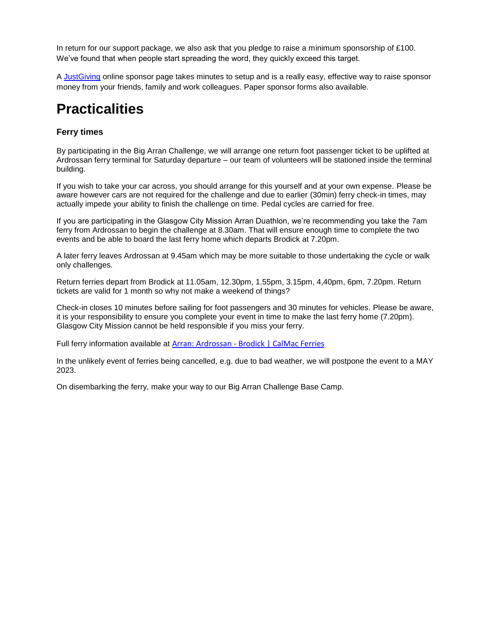In return for our support package, we also ask that you pledge to raise a minimum sponsorship of £100. We've found that when people start spreading the word, they quickly exceed this target.

A [JustGiving](http://www.justgiving.com/glasgowcitymission) online sponsor page takes minutes to setup and is a really easy, effective way to raise sponsor money from your friends, family and work colleagues. Paper sponsor forms also available.

## **Practicalities**

#### **Ferry times**

By participating in the Big Arran Challenge, we will arrange one return foot passenger ticket to be uplifted at Ardrossan ferry terminal for Saturday departure – our team of volunteers will be stationed inside the terminal building.

If you wish to take your car across, you should arrange for this yourself and at your own expense. Please be aware however cars are not required for the challenge and due to earlier (30min) ferry check-in times, may actually impede your ability to finish the challenge on time. Pedal cycles are carried for free.

If you are participating in the Glasgow City Mission Arran Duathlon, we're recommending you take the 7am ferry from Ardrossan to begin the challenge at 8.30am. That will ensure enough time to complete the two events and be able to board the last ferry home which departs Brodick at 7.20pm.

A later ferry leaves Ardrossan at 9.45am which may be more suitable to those undertaking the cycle or walk only challenges.

Return ferries depart from Brodick at 11.05am, 12.30pm, 1.55pm, 3.15pm, 4,40pm, 6pm, 7.20pm. Return tickets are valid for 1 month so why not make a weekend of things?

Check-in closes 10 minutes before sailing for foot passengers and 30 minutes for vehicles. Please be aware, it is your responsibility to ensure you complete your event in time to make the last ferry home (7.20pm). Glasgow City Mission cannot be held responsible if you miss your ferry.

Full ferry information available at Arran: Ardrossan - [Brodick | CalMac Ferries](https://www.calmac.co.uk/summer-timetables/ardrossan-brodick)

In the unlikely event of ferries being cancelled, e.g. due to bad weather, we will postpone the event to a MAY 2023.

On disembarking the ferry, make your way to our Big Arran Challenge Base Camp.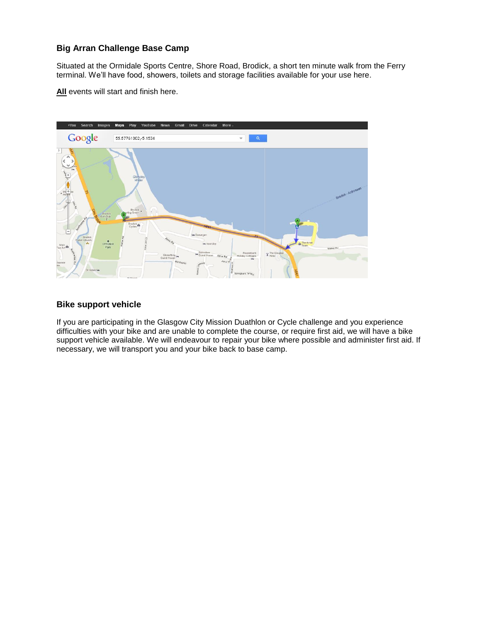#### **Big Arran Challenge Base Camp**

Situated at the Ormidale Sports Centre, Shore Road, Brodick, a short ten minute walk from the Ferry terminal. We'll have food, showers, toilets and storage facilities available for your use here.

**All** events will start and finish here.



#### **Bike support vehicle**

If you are participating in the Glasgow City Mission Duathlon or Cycle challenge and you experience difficulties with your bike and are unable to complete the course, or require first aid, we will have a bike support vehicle available. We will endeavour to repair your bike where possible and administer first aid. If necessary, we will transport you and your bike back to base camp.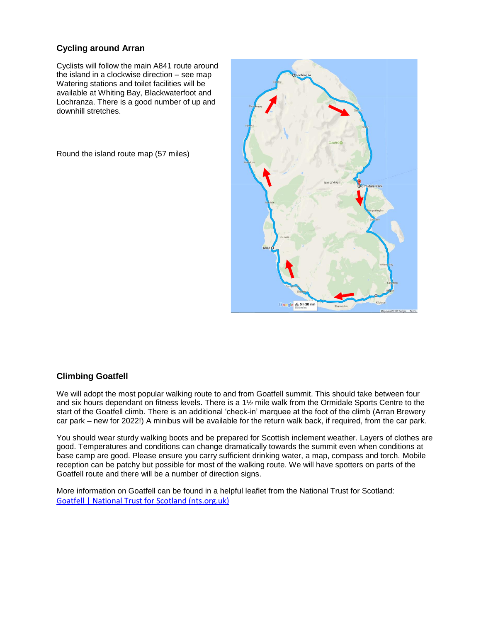### **Cycling around Arran**

Cyclists will follow the main A841 route around the island in a clockwise direction – see map Watering stations and toilet facilities will be available at Whiting Bay, Blackwaterfoot and Lochranza. There is a good number of up and downhill stretches.

Round the island route map (57 miles)



#### **Climbing Goatfell**

We will adopt the most popular walking route to and from Goatfell summit. This should take between four and six hours dependant on fitness levels. There is a 1½ mile walk from the Ormidale Sports Centre to the start of the Goatfell climb. There is an additional 'check-in' marquee at the foot of the climb (Arran Brewery car park – new for 2022!) A minibus will be available for the return walk back, if required, from the car park.

You should wear sturdy walking boots and be prepared for Scottish inclement weather. Layers of clothes are good. Temperatures and conditions can change dramatically towards the summit even when conditions at base camp are good. Please ensure you carry sufficient drinking water, a map, compass and torch. Mobile reception can be patchy but possible for most of the walking route. We will have spotters on parts of the Goatfell route and there will be a number of direction signs.

More information on Goatfell can be found in a helpful leaflet from the National Trust for Scotland: [Goatfell | National Trust for Scotland \(nts.org.uk\)](https://www.nts.org.uk/visit/places/goatfell)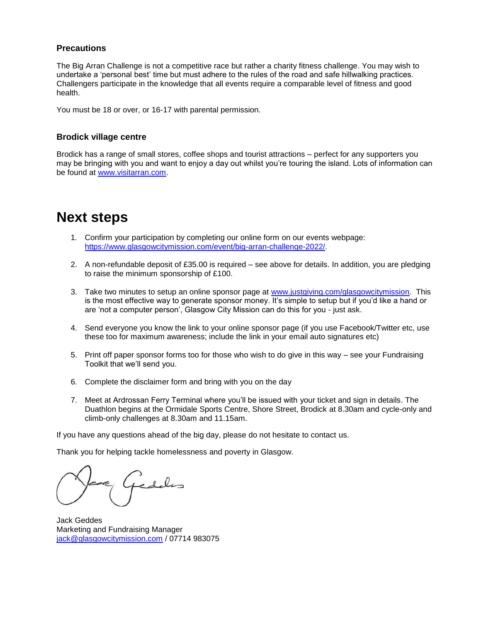#### **Precautions**

The Big Arran Challenge is not a competitive race but rather a charity fitness challenge. You may wish to undertake a 'personal best' time but must adhere to the rules of the road and safe hillwalking practices. Challengers participate in the knowledge that all events require a comparable level of fitness and good health.

You must be 18 or over, or 16-17 with parental permission.

#### **Brodick village centre**

Brodick has a range of small stores, coffee shops and tourist attractions – perfect for any supporters you may be bringing with you and want to enjoy a day out whilst you're touring the island. Lots of information can be found at [www.visitarran.com.](http://www.visitarran.com/)

### **Next steps**

- 1. Confirm your participation by completing our online form on our events webpage: [https://www.glasgowcitymission.com/event/big-arran-challenge-2022/.](https://www.glasgowcitymission.com/event/big-arran-challenge-2022/)
- 2. A non-refundable deposit of £35.00 is required see above for details. In addition, you are pledging to raise the minimum sponsorship of £100.
- 3. Take two minutes to setup an online sponsor page at [www.justgiving.com/glasgowcitymission.](http://www.justgiving.com/glasgowcitymission) This is the most effective way to generate sponsor money. It's simple to setup but if you'd like a hand or are 'not a computer person', Glasgow City Mission can do this for you - just ask.
- 4. Send everyone you know the link to your online sponsor page (if you use Facebook/Twitter etc, use these too for maximum awareness; include the link in your email auto signatures etc)
- 5. Print off paper sponsor forms too for those who wish to do give in this way see your Fundraising Toolkit that we'll send you.
- 6. Complete the disclaimer form and bring with you on the day
- 7. Meet at Ardrossan Ferry Terminal where you'll be issued with your ticket and sign in details. The Duathlon begins at the Ormidale Sports Centre, Shore Street, Brodick at 8.30am and cycle-only and climb-only challenges at 8.30am and 11.15am.

If you have any questions ahead of the big day, please do not hesitate to contact us.

Thank you for helping tackle homelessness and poverty in Glasgow.

Jack Geddes Marketing and Fundraising Manager [jack@glasgowcitymission.com](mailto:jack@glasgowcitymission.com) / 07714 983075